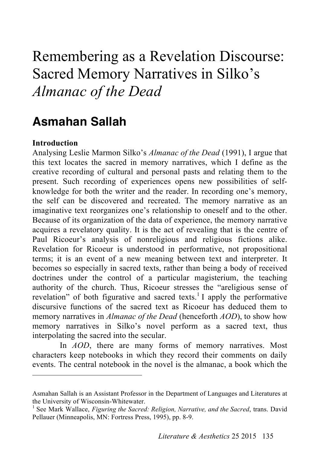# Remembering as a Revelation Discourse: Sacred Memory Narratives in Silko's *Almanac of the Dead*

# **Asmahan Sallah**

# **Introduction**

 $\overline{a}$ 

Analysing Leslie Marmon Silko's *Almanac of the Dead* (1991), I argue that this text locates the sacred in memory narratives, which I define as the creative recording of cultural and personal pasts and relating them to the present. Such recording of experiences opens new possibilities of selfknowledge for both the writer and the reader. In recording one's memory, the self can be discovered and recreated. The memory narrative as an imaginative text reorganizes one's relationship to oneself and to the other. Because of its organization of the data of experience, the memory narrative acquires a revelatory quality. It is the act of revealing that is the centre of Paul Ricoeur's analysis of nonreligious and religious fictions alike. Revelation for Ricoeur is understood in performative, not propositional terms; it is an event of a new meaning between text and interpreter. It becomes so especially in sacred texts, rather than being a body of received doctrines under the control of a particular magisterium, the teaching authority of the church. Thus, Ricoeur stresses the "areligious sense of revelation" of both figurative and sacred texts.<sup>1</sup> I apply the performative discursive functions of the sacred text as Ricoeur has deduced them to memory narratives in *Almanac of the Dead* (henceforth *AOD*), to show how memory narratives in Silko's novel perform as a sacred text, thus interpolating the sacred into the secular.

In *AOD*, there are many forms of memory narratives. Most characters keep notebooks in which they record their comments on daily events. The central notebook in the novel is the almanac, a book which the

Asmahan Sallah is an Assistant Professor in the Department of Languages and Literatures at the University of Wisconsin-Whitewater.<br><sup>1</sup> See Mark Wallace, *Figuring the Sacred: Religion, Narrative, and the Sacred*, trans. David

Pellauer (Minneapolis, MN: Fortress Press, 1995), pp. 8-9.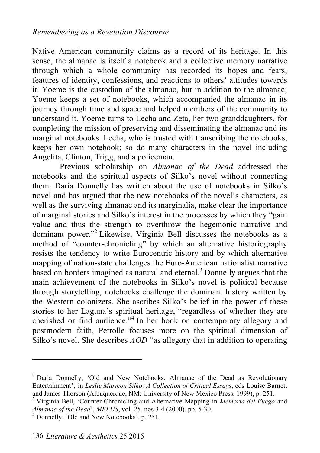Native American community claims as a record of its heritage. In this sense, the almanac is itself a notebook and a collective memory narrative through which a whole community has recorded its hopes and fears, features of identity, confessions, and reactions to others' attitudes towards it. Yoeme is the custodian of the almanac, but in addition to the almanac; Yoeme keeps a set of notebooks, which accompanied the almanac in its journey through time and space and helped members of the community to understand it. Yoeme turns to Lecha and Zeta, her two granddaughters, for completing the mission of preserving and disseminating the almanac and its marginal notebooks. Lecha, who is trusted with transcribing the notebooks, keeps her own notebook; so do many characters in the novel including Angelita, Clinton, Trigg, and a policeman.

Previous scholarship on *Almanac of the Dead* addressed the notebooks and the spiritual aspects of Silko's novel without connecting them. Daria Donnelly has written about the use of notebooks in Silko's novel and has argued that the new notebooks of the novel's characters, as well as the surviving almanac and its marginalia, make clear the importance of marginal stories and Silko's interest in the processes by which they "gain value and thus the strength to overthrow the hegemonic narrative and dominant power."<sup>2</sup> Likewise, Virginia Bell discusses the notebooks as a method of "counter-chronicling" by which an alternative historiography resists the tendency to write Eurocentric history and by which alternative mapping of nation-state challenges the Euro-American nationalist narrative based on borders imagined as natural and eternal. 3 Donnelly argues that the main achievement of the notebooks in Silko's novel is political because through storytelling, notebooks challenge the dominant history written by the Western colonizers. She ascribes Silko's belief in the power of these stories to her Laguna's spiritual heritage, "regardless of whether they are cherished or find audience." 4 In her book on contemporary allegory and postmodern faith, Petrolle focuses more on the spiritual dimension of Silko's novel. She describes *AOD* "as allegory that in addition to operating

<sup>&</sup>lt;sup>2</sup> Daria Donnelly, 'Old and New Notebooks: Almanac of the Dead as Revolutionary Entertainment', in *Leslie Marmon Silko: A Collection of Critical Essays*, eds Louise Barnett and James Thorson (Albuquerque, NM: University of New Mexico Press, 1999), p. 251. <sup>3</sup> Virginia Bell, 'Counter-Chronicling and Alternative Mapping in *Memoria del Fuego* and

*Almanac of the Dead*', *MELUS*, vol. 25, nos 3-4 (2000), pp. 5-30. <sup>4</sup> Donnelly, 'Old and New Notebooks', p. 251.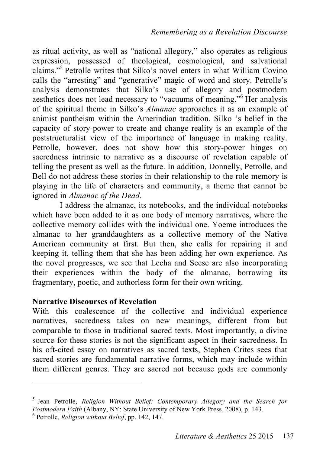as ritual activity, as well as "national allegory," also operates as religious expression, possessed of theological, cosmological, and salvational claims." 5 Petrolle writes that Silko's novel enters in what William Covino calls the "arresting" and "generative" magic of word and story. Petrolle's analysis demonstrates that Silko's use of allegory and postmodern aesthetics does not lead necessary to "vacuums of meaning." Her analysis of the spiritual theme in Silko's *Almanac* approaches it as an example of animist pantheism within the Amerindian tradition. Silko 's belief in the capacity of story-power to create and change reality is an example of the poststructuralist view of the importance of language in making reality. Petrolle, however, does not show how this story-power hinges on sacredness intrinsic to narrative as a discourse of revelation capable of telling the present as well as the future. In addition, Donnelly, Petrolle, and Bell do not address these stories in their relationship to the role memory is playing in the life of characters and community, a theme that cannot be ignored in *Almanac of the Dead*.

I address the almanac, its notebooks, and the individual notebooks which have been added to it as one body of memory narratives, where the collective memory collides with the individual one. Yoeme introduces the almanac to her granddaughters as a collective memory of the Native American community at first. But then, she calls for repairing it and keeping it, telling them that she has been adding her own experience. As the novel progresses, we see that Lecha and Seese are also incorporating their experiences within the body of the almanac, borrowing its fragmentary, poetic, and authorless form for their own writing.

#### **Narrative Discourses of Revelation**

With this coalescence of the collective and individual experience narratives, sacredness takes on new meanings, different from but comparable to those in traditional sacred texts. Most importantly, a divine source for these stories is not the significant aspect in their sacredness. In his oft-cited essay on narratives as sacred texts, Stephen Crites sees that sacred stories are fundamental narrative forms, which may include within them different genres. They are sacred not because gods are commonly

<sup>5</sup> Jean Petrolle, *Religion Without Belief: Contemporary Allegory and the Search for Postmodern Faith* (Albany, NY: State University of New York Press, 2008), p. 143.

Petrolle, *Religion without Belief*, pp. 142, 147.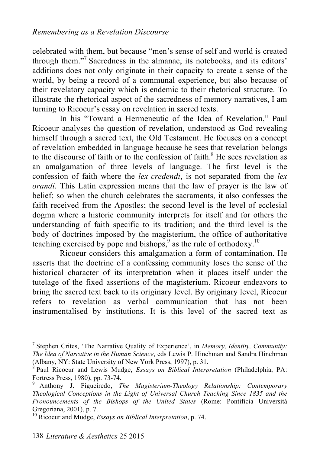celebrated with them, but because "men's sense of self and world is created through them." 7 Sacredness in the almanac, its notebooks, and its editors' additions does not only originate in their capacity to create a sense of the world, by being a record of a communal experience, but also because of their revelatory capacity which is endemic to their rhetorical structure. To illustrate the rhetorical aspect of the sacredness of memory narratives, I am turning to Ricoeur's essay on revelation in sacred texts.

In his "Toward a Hermeneutic of the Idea of Revelation," Paul Ricoeur analyses the question of revelation, understood as God revealing himself through a sacred text, the Old Testament. He focuses on a concept of revelation embedded in language because he sees that revelation belongs to the discourse of faith or to the confession of faith.<sup>8</sup> He sees revelation as an amalgamation of three levels of language. The first level is the confession of faith where the *lex credendi*, is not separated from the *lex orandi*. This Latin expression means that the law of prayer is the law of belief; so when the church celebrates the sacraments, it also confesses the faith received from the Apostles; the second level is the level of ecclesial dogma where a historic community interprets for itself and for others the understanding of faith specific to its tradition; and the third level is the body of doctrines imposed by the magisterium, the office of authoritative teaching exercised by pope and bishops,  $9^9$  as the rule of orthodoxy.<sup>10</sup>

Ricoeur considers this amalgamation a form of contamination. He asserts that the doctrine of a confessing community loses the sense of the historical character of its interpretation when it places itself under the tutelage of the fixed assertions of the magisterium. Ricoeur endeavors to bring the sacred text back to its originary level. By originary level, Ricoeur refers to revelation as verbal communication that has not been instrumentalised by institutions. It is this level of the sacred text as

<sup>7</sup> Stephen Crites, 'The Narrative Quality of Experience', in *Memory, Identity, Community: The Idea of Narrative in the Human Science*, eds Lewis P. Hinchman and Sandra Hinchman (Albany, NY: State University of New York Press, 1997), p. 31.

Paul Ricoeur and Lewis Mudge, *Essays on Biblical Interpretation* (Philadelphia, PA: Fortress Press, 1980), pp. 73-74.<br><sup>9</sup> Anthony J. Figueiredo, *The Magisterium-Theology Relationship: Contemporary* 

*Theological Conceptions in the Light of Universal Church Teaching Since 1835 and the Pronouncements of the Bishops of the United States* (Rome: Pontificia Università Gregoriana, 2001), p. 7.<br><sup>10</sup> Ricoeur and Mudge, *Essays on Biblical Interpretation*, p. 74.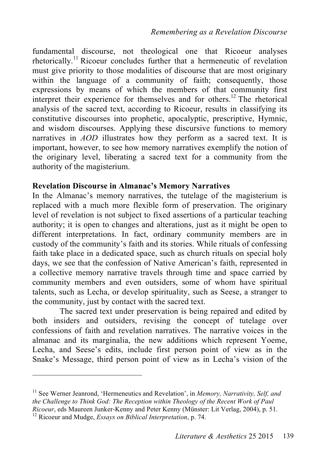fundamental discourse, not theological one that Ricoeur analyses rhetorically. 11 Ricoeur concludes further that a hermeneutic of revelation must give priority to those modalities of discourse that are most originary within the language of a community of faith; consequently, those expressions by means of which the members of that community first interpret their experience for themselves and for others. 12 The rhetorical analysis of the sacred text, according to Ricoeur, results in classifying its constitutive discourses into prophetic, apocalyptic, prescriptive, Hymnic, and wisdom discourses. Applying these discursive functions to memory narratives in *AOD* illustrates how they perform as a sacred text. It is important, however, to see how memory narratives exemplify the notion of the originary level, liberating a sacred text for a community from the authority of the magisterium.

# **Revelation Discourse in Almanac's Memory Narratives**

In the Almanac's memory narratives, the tutelage of the magisterium is replaced with a much more flexible form of preservation. The originary level of revelation is not subject to fixed assertions of a particular teaching authority; it is open to changes and alterations, just as it might be open to different interpretations. In fact, ordinary community members are in custody of the community's faith and its stories. While rituals of confessing faith take place in a dedicated space, such as church rituals on special holy days, we see that the confession of Native American's faith, represented in a collective memory narrative travels through time and space carried by community members and even outsiders, some of whom have spiritual talents, such as Lecha, or develop spirituality, such as Seese, a stranger to the community, just by contact with the sacred text.

The sacred text under preservation is being repaired and edited by both insiders and outsiders, revising the concept of tutelage over confessions of faith and revelation narratives. The narrative voices in the almanac and its marginalia, the new additions which represent Yoeme, Lecha, and Seese's edits, include first person point of view as in the Snake's Message, third person point of view as in Lecha's vision of the

<sup>11</sup> See Werner Jeanrond, 'Hermeneutics and Revelation', in *Memory, Narrativity, Self, and the Challenge to Think God: The Reception within Theology of the Recent Work of Paul Ricoeur*, eds Maureen Junker-Kenny and Peter Kenny (Münster: Lit Verlag, 2004), p. 51. <sup>12</sup> Ricoeur and Mudge, *Essays on Biblical Interpretation*, p. 74.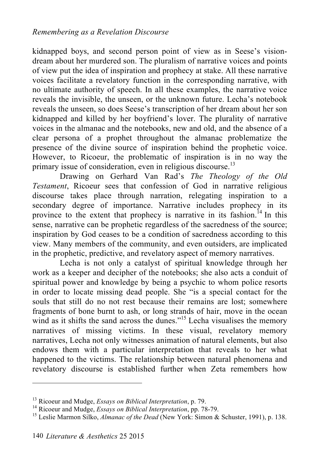kidnapped boys, and second person point of view as in Seese's visiondream about her murdered son. The pluralism of narrative voices and points of view put the idea of inspiration and prophecy at stake. All these narrative voices facilitate a revelatory function in the corresponding narrative, with no ultimate authority of speech. In all these examples, the narrative voice reveals the invisible, the unseen, or the unknown future. Lecha's notebook reveals the unseen, so does Seese's transcription of her dream about her son kidnapped and killed by her boyfriend's lover. The plurality of narrative voices in the almanac and the notebooks, new and old, and the absence of a clear persona of a prophet throughout the almanac problematize the presence of the divine source of inspiration behind the prophetic voice. However, to Ricoeur, the problematic of inspiration is in no way the primary issue of consideration, even in religious discourse.<sup>13</sup>

Drawing on Gerhard Van Rad's *The Theology of the Old Testament*, Ricoeur sees that confession of God in narrative religious discourse takes place through narration, relegating inspiration to a secondary degree of importance. Narrative includes prophecy in its province to the extent that prophecy is narrative in its fashion.<sup>14</sup> In this sense, narrative can be prophetic regardless of the sacredness of the source; inspiration by God ceases to be a condition of sacredness according to this view. Many members of the community, and even outsiders, are implicated in the prophetic, predictive, and revelatory aspect of memory narratives.

Lecha is not only a catalyst of spiritual knowledge through her work as a keeper and decipher of the notebooks; she also acts a conduit of spiritual power and knowledge by being a psychic to whom police resorts in order to locate missing dead people. She "is a special contact for the souls that still do no not rest because their remains are lost; somewhere fragments of bone burnt to ash, or long strands of hair, move in the ocean wind as it shifts the sand across the dunes."<sup>15</sup> Lecha visualises the memory narratives of missing victims. In these visual, revelatory memory narratives, Lecha not only witnesses animation of natural elements, but also endows them with a particular interpretation that reveals to her what happened to the victims. The relationship between natural phenomena and revelatory discourse is established further when Zeta remembers how

<sup>&</sup>lt;sup>13</sup> Ricoeur and Mudge, *Essays on Biblical Interpretation*, p. 79.<br><sup>14</sup> Ricoeur and Mudge, *Essays on Biblical Interpretation*, pp. 78-79.<br><sup>15</sup> Leslie Marmon Silko, *Almanac of the Dead* (New York: Simon & Schuster, 1991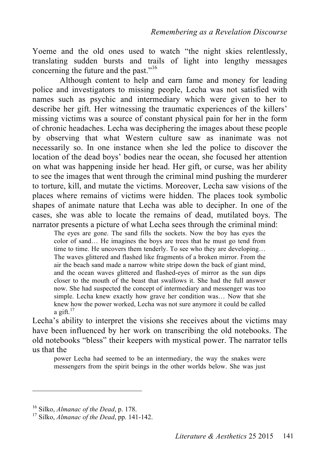Yoeme and the old ones used to watch "the night skies relentlessly, translating sudden bursts and trails of light into lengthy messages concerning the future and the past."<sup>16</sup>

Although content to help and earn fame and money for leading police and investigators to missing people, Lecha was not satisfied with names such as psychic and intermediary which were given to her to describe her gift. Her witnessing the traumatic experiences of the killers' missing victims was a source of constant physical pain for her in the form of chronic headaches. Lecha was deciphering the images about these people by observing that what Western culture saw as inanimate was not necessarily so. In one instance when she led the police to discover the location of the dead boys' bodies near the ocean, she focused her attention on what was happening inside her head. Her gift, or curse, was her ability to see the images that went through the criminal mind pushing the murderer to torture, kill, and mutate the victims. Moreover, Lecha saw visions of the places where remains of victims were hidden. The places took symbolic shapes of animate nature that Lecha was able to decipher. In one of the cases, she was able to locate the remains of dead, mutilated boys. The narrator presents a picture of what Lecha sees through the criminal mind:

The eyes are gone. The sand fills the sockets. Now the boy has eyes the color of sand… He imagines the boys are trees that he must go tend from time to time. He uncovers them tenderly. To see who they are developing… The waves glittered and flashed like fragments of a broken mirror. From the air the beach sand made a narrow white stripe down the back of giant mind, and the ocean waves glittered and flashed-eyes of mirror as the sun dips closer to the mouth of the beast that swallows it. She had the full answer now. She had suspected the concept of intermediary and messenger was too simple. Lecha knew exactly how grave her condition was… Now that she knew how the power worked, Lecha was not sure anymore it could be called a gift.<sup>17</sup>

Lecha's ability to interpret the visions she receives about the victims may have been influenced by her work on transcribing the old notebooks. The old notebooks "bless" their keepers with mystical power. The narrator tells us that the

power Lecha had seemed to be an intermediary, the way the snakes were messengers from the spirit beings in the other worlds below. She was just

<sup>16</sup> Silko, *Almanac of the Dead*, p. 178. <sup>17</sup> Silko, *Almanac of the Dead*, pp. 141-142.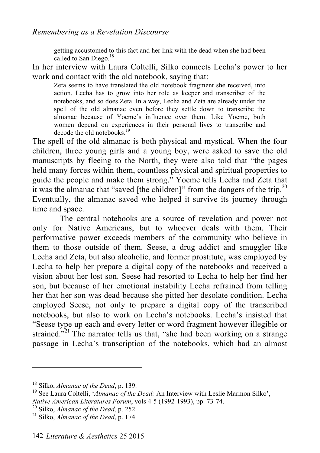#### *Remembering as a Revelation Discourse*

getting accustomed to this fact and her link with the dead when she had been called to San Diego.<sup>18</sup>

In her interview with Laura Coltelli, Silko connects Lecha's power to her work and contact with the old notebook, saying that:

Zeta seems to have translated the old notebook fragment she received, into action. Lecha has to grow into her role as keeper and transcriber of the notebooks, and so does Zeta. In a way, Lecha and Zeta are already under the spell of the old almanac even before they settle down to transcribe the almanac because of Yoeme's influence over them. Like Yoeme, both women depend on experiences in their personal lives to transcribe and decode the old notebooks. 19

The spell of the old almanac is both physical and mystical. When the four children, three young girls and a young boy, were asked to save the old manuscripts by fleeing to the North, they were also told that "the pages held many forces within them, countless physical and spiritual properties to guide the people and make them strong." Yoeme tells Lecha and Zeta that it was the almanac that "saved [the children]" from the dangers of the trip.<sup>20</sup> Eventually, the almanac saved who helped it survive its journey through time and space.

The central notebooks are a source of revelation and power not only for Native Americans, but to whoever deals with them. Their performative power exceeds members of the community who believe in them to those outside of them. Seese, a drug addict and smuggler like Lecha and Zeta, but also alcoholic, and former prostitute, was employed by Lecha to help her prepare a digital copy of the notebooks and received a vision about her lost son. Seese had resorted to Lecha to help her find her son, but because of her emotional instability Lecha refrained from telling her that her son was dead because she pitted her desolate condition. Lecha employed Seese, not only to prepare a digital copy of the transcribed notebooks, but also to work on Lecha's notebooks. Lecha's insisted that "Seese type up each and every letter or word fragment however illegible or strained."<sup>21</sup> The narrator tells us that, "she had been working on a strange passage in Lecha's transcription of the notebooks, which had an almost

<sup>&</sup>lt;sup>18</sup> Silko, *Almanac of the Dead*, p. 139.<br><sup>19</sup> See Laura Coltelli, *'Almanac of the Dead:* An Interview with Leslie Marmon Silko', *Native American Literatures Forum*, vols 4-5 (1992-1993), pp. 73-74.<br><sup>20</sup> Silko, *Almanac of the Dead*, p. 252.<br><sup>21</sup> Silko, *Almanac of the Dead*, p. 174.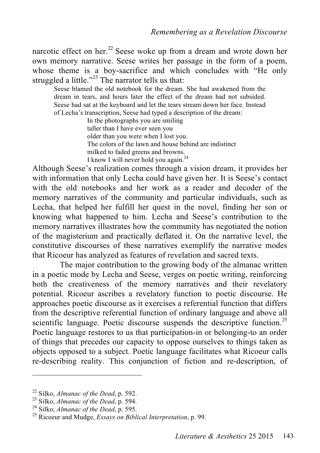narcotic effect on her.<sup>22</sup> Seese woke up from a dream and wrote down her own memory narrative. Seese writes her passage in the form of a poem, whose theme is a boy-sacrifice and which concludes with "He only struggled a little."<sup>23</sup> The narrator tells us that:

Seese blamed the old notebook for the dream. She had awakened from the dream in tears, and hours later the effect of the dream had not subsided. Seese had sat at the keyboard and let the tears stream down her face. Instead of Lecha's transcription, Seese had typed a description of the dream:

> In the photographs you are smiling taller than I have ever seen you older than you were when I lost you. The colors of the lawn and house behind are indistinct milked to faded greens and browns. I know I will never hold you again.<sup>24</sup>

Although Seese's realization comes through a vision dream, it provides her with information that only Lecha could have given her. It is Seese's contact with the old notebooks and her work as a reader and decoder of the memory narratives of the community and particular individuals, such as Lecha, that helped her fulfill her quest in the novel, finding her son or knowing what happened to him. Lecha and Seese's contribution to the memory narratives illustrates how the community has negotiated the notion of the magisterium and practically deflated it. On the narrative level, the constitutive discourses of these narratives exemplify the narrative modes that Ricoeur has analyzed as features of revelation and sacred texts.

The major contribution to the growing body of the almanac written in a poetic mode by Lecha and Seese, verges on poetic writing, reinforcing both the creativeness of the memory narratives and their revelatory potential. Ricoeur ascribes a revelatory function to poetic discourse. He approaches poetic discourse as it exercises a referential function that differs from the descriptive referential function of ordinary language and above all scientific language. Poetic discourse suspends the descriptive function.<sup>25</sup> Poetic language restores to us that participation-in or belonging-to an order of things that precedes our capacity to oppose ourselves to things taken as objects opposed to a subject. Poetic language facilitates what Ricoeur calls re-describing reality. This conjunction of fiction and re-description, of

<sup>22</sup> Silko, *Almanac of the Dead*, p. 592.<br><sup>23</sup> Silko, *Almanac of the Dead*, p. 594.<br><sup>24</sup> Silko, *Almanac of the Dead*, p. 595.<br><sup>25</sup> Ricoeur and Mudge, *Essays on Biblical Interpretation*, p. 99.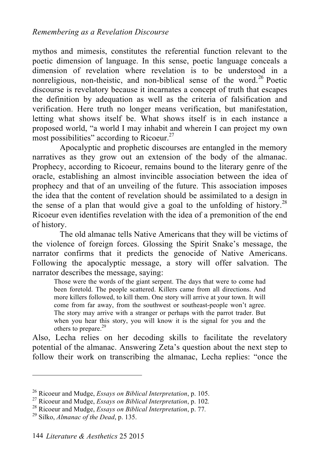mythos and mimesis, constitutes the referential function relevant to the poetic dimension of language. In this sense, poetic language conceals a dimension of revelation where revelation is to be understood in a nonreligious, non-theistic, and non-biblical sense of the word.<sup>26</sup> Poetic discourse is revelatory because it incarnates a concept of truth that escapes the definition by adequation as well as the criteria of falsification and verification. Here truth no longer means verification, but manifestation, letting what shows itself be. What shows itself is in each instance a proposed world, "a world I may inhabit and wherein I can project my own most possibilities" according to Ricoeur. $27$ 

Apocalyptic and prophetic discourses are entangled in the memory narratives as they grow out an extension of the body of the almanac. Prophecy, according to Ricoeur, remains bound to the literary genre of the oracle, establishing an almost invincible association between the idea of prophecy and that of an unveiling of the future. This association imposes the idea that the content of revelation should be assimilated to a design in the sense of a plan that would give a goal to the unfolding of history.<sup>28</sup> Ricoeur even identifies revelation with the idea of a premonition of the end of history.

The old almanac tells Native Americans that they will be victims of the violence of foreign forces. Glossing the Spirit Snake's message, the narrator confirms that it predicts the genocide of Native Americans. Following the apocalyptic message, a story will offer salvation. The narrator describes the message, saying:

Those were the words of the giant serpent. The days that were to come had been foretold. The people scattered. Killers came from all directions. And more killers followed, to kill them. One story will arrive at your town. It will come from far away, from the southwest or southeast-people won't agree. The story may arrive with a stranger or perhaps with the parrot trader. But when you hear this story, you will know it is the signal for you and the others to prepare. 29

Also, Lecha relies on her decoding skills to facilitate the revelatory potential of the almanac. Answering Zeta's question about the next step to follow their work on transcribing the almanac, Lecha replies: "once the

<sup>&</sup>lt;sup>26</sup> Ricoeur and Mudge, *Essays on Biblical Interpretation*, p. 105.<br><sup>27</sup> Ricoeur and Mudge, *Essays on Biblical Interpretation*, p. 102.<br><sup>28</sup> Ricoeur and Mudge, *Essays on Biblical Interpretation*, p. 77.<br><sup>29</sup> Silko, *Al*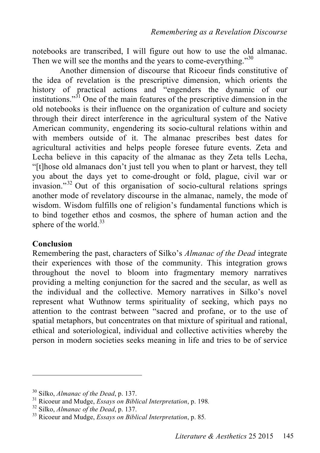notebooks are transcribed, I will figure out how to use the old almanac. Then we will see the months and the years to come-everything."<sup>30</sup>

Another dimension of discourse that Ricoeur finds constitutive of the idea of revelation is the prescriptive dimension, which orients the history of practical actions and "engenders the dynamic of our institutions." 31 One of the main features of the prescriptive dimension in the old notebooks is their influence on the organization of culture and society through their direct interference in the agricultural system of the Native American community, engendering its socio-cultural relations within and with members outside of it. The almanac prescribes best dates for agricultural activities and helps people foresee future events. Zeta and Lecha believe in this capacity of the almanac as they Zeta tells Lecha, "[t]hose old almanacs don't just tell you when to plant or harvest, they tell you about the days yet to come-drought or fold, plague, civil war or invasion."32 Out of this organisation of socio-cultural relations springs another mode of revelatory discourse in the almanac, namely, the mode of wisdom. Wisdom fulfills one of religion's fundamental functions which is to bind together ethos and cosmos, the sphere of human action and the sphere of the world.<sup>33</sup>

# **Conclusion**

 $\overline{a}$ 

Remembering the past, characters of Silko's *Almanac of the Dead* integrate their experiences with those of the community. This integration grows throughout the novel to bloom into fragmentary memory narratives providing a melting conjunction for the sacred and the secular, as well as the individual and the collective. Memory narratives in Silko's novel represent what Wuthnow terms spirituality of seeking, which pays no attention to the contrast between "sacred and profane, or to the use of spatial metaphors, but concentrates on that mixture of spiritual and rational, ethical and soteriological, individual and collective activities whereby the person in modern societies seeks meaning in life and tries to be of service

<sup>&</sup>lt;sup>30</sup> Silko, *Almanac of the Dead*, p. 137.<br><sup>31</sup> Ricoeur and Mudge, *Essays on Biblical Interpretation*, p. 198.<br><sup>32</sup> Silko, *Almanac of the Dead*, p. 137.<br><sup>33</sup> Ricoeur and Mudge, *Essays on Biblical Interpretation*, p. 85